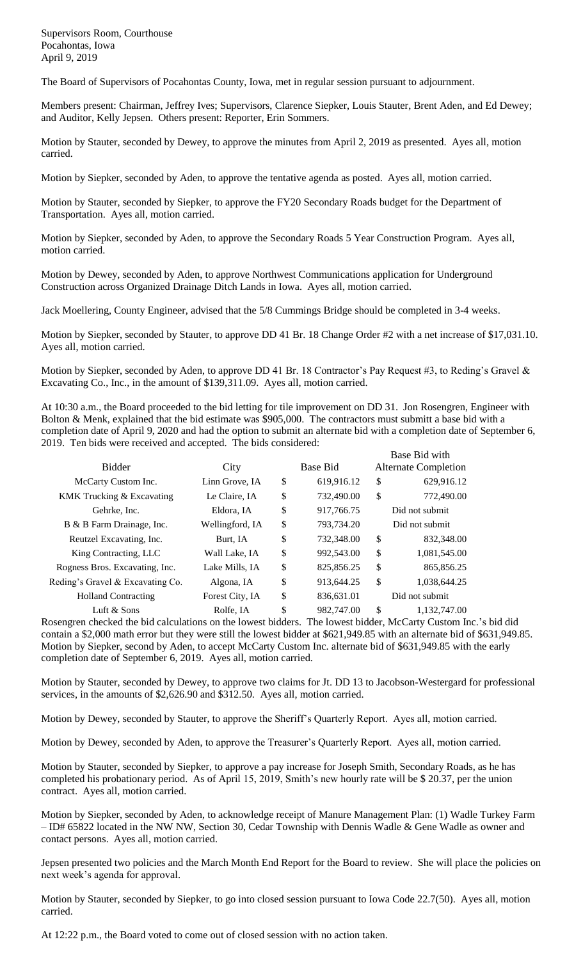The Board of Supervisors of Pocahontas County, Iowa, met in regular session pursuant to adjournment.

Members present: Chairman, Jeffrey Ives; Supervisors, Clarence Siepker, Louis Stauter, Brent Aden, and Ed Dewey; and Auditor, Kelly Jepsen. Others present: Reporter, Erin Sommers.

Motion by Stauter, seconded by Dewey, to approve the minutes from April 2, 2019 as presented. Ayes all, motion carried.

Motion by Siepker, seconded by Aden, to approve the tentative agenda as posted. Ayes all, motion carried.

Motion by Stauter, seconded by Siepker, to approve the FY20 Secondary Roads budget for the Department of Transportation. Ayes all, motion carried.

Motion by Siepker, seconded by Aden, to approve the Secondary Roads 5 Year Construction Program. Ayes all, motion carried.

Motion by Dewey, seconded by Aden, to approve Northwest Communications application for Underground Construction across Organized Drainage Ditch Lands in Iowa. Ayes all, motion carried.

Jack Moellering, County Engineer, advised that the 5/8 Cummings Bridge should be completed in 3-4 weeks.

Motion by Siepker, seconded by Stauter, to approve DD 41 Br. 18 Change Order #2 with a net increase of \$17,031.10. Ayes all, motion carried.

Motion by Siepker, seconded by Aden, to approve DD 41 Br. 18 Contractor's Pay Request #3, to Reding's Gravel & Excavating Co., Inc., in the amount of \$139,311.09. Ayes all, motion carried.

At 10:30 a.m., the Board proceeded to the bid letting for tile improvement on DD 31. Jon Rosengren, Engineer with Bolton & Menk, explained that the bid estimate was \$905,000. The contractors must submitt a base bid with a completion date of April 9, 2020 and had the option to submit an alternate bid with a completion date of September 6, 2019. Ten bids were received and accepted. The bids considered: Base Bid with

|                                  |                 |                  | DASE DIU WILLI |                             |  |
|----------------------------------|-----------------|------------------|----------------|-----------------------------|--|
| <b>Bidder</b>                    | City            | Base Bid         |                | <b>Alternate Completion</b> |  |
| McCarty Custom Inc.              | Linn Grove, IA  | \$<br>619,916.12 | \$             | 629,916.12                  |  |
| KMK Trucking & Excavating        | Le Claire, IA   | \$<br>732,490.00 | \$             | 772,490.00                  |  |
| Gehrke, Inc.                     | Eldora, IA      | \$<br>917,766.75 |                | Did not submit              |  |
| B & B Farm Drainage, Inc.        | Wellingford, IA | \$<br>793,734.20 |                | Did not submit              |  |
| Reutzel Excavating, Inc.         | Burt, IA        | \$<br>732,348.00 | \$             | 832,348.00                  |  |
| King Contracting, LLC            | Wall Lake, IA   | \$<br>992,543.00 | \$             | 1,081,545.00                |  |
| Rogness Bros. Excavating, Inc.   | Lake Mills, IA  | \$<br>825,856.25 | \$             | 865,856.25                  |  |
| Reding's Gravel & Excavating Co. | Algona, IA      | \$<br>913,644.25 | \$             | 1.038.644.25                |  |
| <b>Holland Contracting</b>       | Forest City, IA | \$<br>836,631.01 |                | Did not submit              |  |
| Luft & Sons                      | Rolfe, IA       | \$<br>982,747.00 | \$             | 1.132.747.00                |  |

Rosengren checked the bid calculations on the lowest bidders. The lowest bidder, McCarty Custom Inc.'s bid did contain a \$2,000 math error but they were still the lowest bidder at \$621,949.85 with an alternate bid of \$631,949.85. Motion by Siepker, second by Aden, to accept McCarty Custom Inc. alternate bid of \$631,949.85 with the early completion date of September 6, 2019. Ayes all, motion carried.

Motion by Stauter, seconded by Dewey, to approve two claims for Jt. DD 13 to Jacobson-Westergard for professional services, in the amounts of \$2,626.90 and \$312.50. Ayes all, motion carried.

Motion by Dewey, seconded by Stauter, to approve the Sheriff's Quarterly Report. Ayes all, motion carried.

Motion by Dewey, seconded by Aden, to approve the Treasurer's Quarterly Report. Ayes all, motion carried.

Motion by Stauter, seconded by Siepker, to approve a pay increase for Joseph Smith, Secondary Roads, as he has completed his probationary period. As of April 15, 2019, Smith's new hourly rate will be \$ 20.37, per the union contract. Ayes all, motion carried.

Motion by Siepker, seconded by Aden, to acknowledge receipt of Manure Management Plan: (1) Wadle Turkey Farm – ID# 65822 located in the NW NW, Section 30, Cedar Township with Dennis Wadle & Gene Wadle as owner and contact persons. Ayes all, motion carried.

Jepsen presented two policies and the March Month End Report for the Board to review. She will place the policies on next week's agenda for approval.

Motion by Stauter, seconded by Siepker, to go into closed session pursuant to Iowa Code 22.7(50). Ayes all, motion carried.

At 12:22 p.m., the Board voted to come out of closed session with no action taken.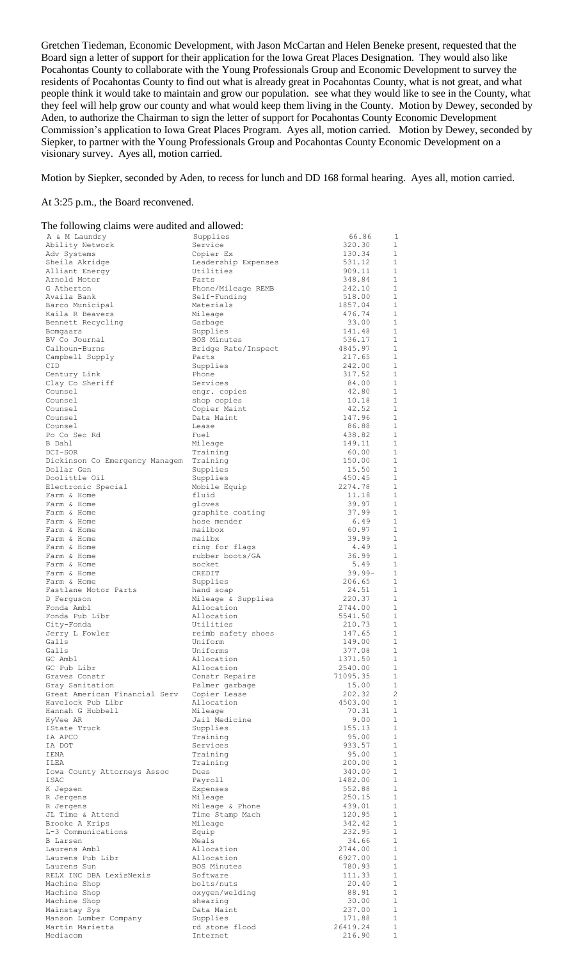Gretchen Tiedeman, Economic Development, with Jason McCartan and Helen Beneke present, requested that the Board sign a letter of support for their application for the Iowa Great Places Designation. They would also like Pocahontas County to collaborate with the Young Professionals Group and Economic Development to survey the residents of Pocahontas County to find out what is already great in Pocahontas County, what is not great, and what people think it would take to maintain and grow our population. see what they would like to see in the County, what they feel will help grow our county and what would keep them living in the County. Motion by Dewey, seconded by Aden, to authorize the Chairman to sign the letter of support for Pocahontas County Economic Development Commission's application to Iowa Great Places Program. Ayes all, motion carried. Motion by Dewey, seconded by Siepker, to partner with the Young Professionals Group and Pocahontas County Economic Development on a visionary survey. Ayes all, motion carried.

Motion by Siepker, seconded by Aden, to recess for lunch and DD 168 formal hearing. Ayes all, motion carried.

## At 3:25 p.m., the Board reconvened.

| The following claims were audited and allowed: |                                   |                  |                              |  |  |  |  |
|------------------------------------------------|-----------------------------------|------------------|------------------------------|--|--|--|--|
| A & M Laundry                                  | Supplies                          | 66.86            | 1                            |  |  |  |  |
| Ability Network                                | Service                           | 320.30           | $\mathbf{1}$                 |  |  |  |  |
| Adv Systems                                    | Copier Ex                         | 130.34           | $\mathbf{1}$                 |  |  |  |  |
| Sheila Akridge                                 | Leadership Expenses               | 531.12           | 1<br>1                       |  |  |  |  |
| Alliant Energy<br>Arnold Motor                 | Utilities<br>Parts                | 909.11<br>348.84 | 1                            |  |  |  |  |
| G Atherton                                     | Phone/Mileage REMB                | 242.10           | $\mathbf{1}$                 |  |  |  |  |
| Availa Bank                                    | Self-Funding                      | 518.00           | 1                            |  |  |  |  |
| Barco Municipal                                | Materials                         | 1857.04          | 1                            |  |  |  |  |
| Kaila R Beavers                                | Mileage                           | 476.74           | 1                            |  |  |  |  |
| Bennett Recycling                              | Garbage                           | 33.00            | $\mathbf{1}$                 |  |  |  |  |
| Bomgaars                                       | Supplies                          | 141.48           | 1                            |  |  |  |  |
| BV Co Journal                                  | BOS Minutes                       | 536.17           | $\mathbf{1}$                 |  |  |  |  |
| Calhoun-Burns                                  | Bridge Rate/Inspect               | 4845.97          | 1                            |  |  |  |  |
| Campbell Supply                                | Parts                             | 217.65           | $\mathbf{1}$                 |  |  |  |  |
| CID<br>Century Link                            | Supplies<br>Phone                 | 242.00<br>317.52 | 1<br>$\mathbf{1}$            |  |  |  |  |
| Clay Co Sheriff                                | Services                          | 84.00            | 1                            |  |  |  |  |
| Counsel                                        | engr. copies                      | 42.80            | $\mathbf{1}$                 |  |  |  |  |
| Counsel                                        | shop copies                       | 10.18            | $\mathbf{1}$                 |  |  |  |  |
| Counsel                                        | Copier Maint                      | 42.52            | $\mathbf{1}$                 |  |  |  |  |
| Counsel                                        | Data Maint                        | 147.96           | $\mathbf{1}$                 |  |  |  |  |
| Counsel                                        | Lease                             | 86.88            | $\mathbf{1}$                 |  |  |  |  |
| Po Co Sec Rd                                   | Fuel                              | 438.82           | $\mathbf{1}$                 |  |  |  |  |
| B Dahl                                         | Mileage                           | 149.11           | $\mathbf{1}$                 |  |  |  |  |
| DCI-SOR<br>Dickinson Co Emergency Managem      | Training<br>Training              | 60.00<br>150.00  | $\mathbf{1}$<br>$\mathbf{1}$ |  |  |  |  |
| Dollar Gen                                     | Supplies                          | 15.50            | $\mathbf{1}$                 |  |  |  |  |
| Doolittle Oil                                  | Supplies                          | 450.45           | $\mathbf{1}$                 |  |  |  |  |
| Electronic Special                             | Mobile Equip                      | 2274.78          | $\mathbf{1}$                 |  |  |  |  |
| Farm & Home                                    | fluid                             | 11.18            | $\mathbf{1}$                 |  |  |  |  |
| Farm & Home                                    | gloves                            | 39.97            | $\mathbf{1}$                 |  |  |  |  |
| Farm & Home                                    | graphite coating                  | 37.99            | $\mathbf{1}$                 |  |  |  |  |
| Farm & Home                                    | hose mender                       | 6.49             | $\mathbf{1}$                 |  |  |  |  |
| Farm & Home                                    | mailbox                           | 60.97            | $\mathbf{1}$                 |  |  |  |  |
| Farm & Home                                    | mailbx                            | 39.99            | $\mathbf{1}$<br>$\mathbf{1}$ |  |  |  |  |
| Farm & Home<br>Farm & Home                     | ring for flags<br>rubber boots/GA | 4.49<br>36.99    | $\mathbf{1}$                 |  |  |  |  |
| Farm & Home                                    | socket                            | 5.49             | $\mathbf{1}$                 |  |  |  |  |
| Farm & Home                                    | CREDIT                            | 39.99-           | $\mathbf{1}$                 |  |  |  |  |
| Farm & Home                                    | Supplies                          | 206.65           | $\mathbf{1}$                 |  |  |  |  |
| Fastlane Motor Parts                           | hand soap                         | 24.51            | $\mathbf{1}$                 |  |  |  |  |
| D Ferquson                                     | Mileage & Supplies                | 220.37           | $\mathbf{1}$                 |  |  |  |  |
| Fonda Ambl                                     | Allocation                        | 2744.00          | 1                            |  |  |  |  |
| Fonda Pub Libr                                 | Allocation                        | 5541.50          | $\mathbf{1}$                 |  |  |  |  |
| City-Fonda                                     | Utilities                         | 210.73           | $\mathbf{1}$                 |  |  |  |  |
| Jerry L Fowler<br>Galls                        | reimb safety shoes<br>Uniform     | 147.65<br>149.00 | $\mathbf{1}$<br>$\mathbf{1}$ |  |  |  |  |
| Galls                                          | Uniforms                          | 377.08           | $\mathbf{1}$                 |  |  |  |  |
| GC Ambl                                        | Allocation                        | 1371.50          | 1                            |  |  |  |  |
| GC Pub Libr                                    | Allocation                        | 2540.00          | $\mathbf{1}$                 |  |  |  |  |
| Graves Constr                                  | Constr Repairs                    | 71095.35         | $\mathbf{1}$                 |  |  |  |  |
| Gray Sanitation                                | Palmer garbage                    | 15.00            | $\mathbf{1}$                 |  |  |  |  |
| Great American Financial Serv                  | Copier Lease                      | 202.32           | $\overline{c}$               |  |  |  |  |
| Havelock Pub Libr                              | Allocation                        | 4503.00          | $\mathbf{1}$                 |  |  |  |  |
| Hannah G Hubbell                               | Mileage                           | 70.31            | $\mathbf{1}$                 |  |  |  |  |
| HyVee AR<br>IState Truck                       | Jail Medicine                     | 9.00<br>155.13   | $\mathbf{1}$<br>$\mathbf{1}$ |  |  |  |  |
| IA APCO                                        | Supplies<br>Training              | 95.00            | $\mathbf{1}$                 |  |  |  |  |
| IA DOT                                         | Services                          | 933.57           | $\mathbf{1}$                 |  |  |  |  |
| IENA                                           | Training                          | 95.00            | $\mathbf{1}$                 |  |  |  |  |
| ILEA                                           | Training                          | 200.00           | $\mathbf{1}$                 |  |  |  |  |
| Iowa County Attorneys Assoc                    | Dues                              | 340.00           | $\mathbf{1}$                 |  |  |  |  |
| ISAC                                           | Payroll                           | 1482.00          | $\mathbf{1}$                 |  |  |  |  |
| K Jepsen                                       | Expenses                          | 552.88           | $\mathbf{1}$                 |  |  |  |  |
| R Jergens                                      | Mileage                           | 250.15           | $\mathbf{1}$                 |  |  |  |  |
| R Jergens                                      | Mileage & Phone                   | 439.01           | $\mathbf{1}$                 |  |  |  |  |
| JL Time & Attend                               | Time Stamp Mach<br>Mileage        | 120.95           | $\mathbf{1}$<br>$\mathbf{1}$ |  |  |  |  |
| Brooke A Krips<br>L-3 Communications           | Equip                             | 342.42<br>232.95 | $\mathbf{1}$                 |  |  |  |  |
| B Larsen                                       | Meals                             | 34.66            | $\mathbf{1}$                 |  |  |  |  |
| Laurens Ambl                                   | Allocation                        | 2744.00          | $\mathbf{1}$                 |  |  |  |  |
| Laurens Pub Libr                               | Allocation                        | 6927.00          | $\mathbf{1}$                 |  |  |  |  |
| Laurens Sun                                    | BOS Minutes                       | 780.93           | $\mathbf{1}$                 |  |  |  |  |
| RELX INC DBA LexisNexis                        | Software                          | 111.33           | $\mathbf{1}$                 |  |  |  |  |
| Machine Shop                                   | bolts/nuts                        | 20.40            | $\mathbf{1}$                 |  |  |  |  |
| Machine Shop                                   | oxygen/welding                    | 88.91            | $\mathbf{1}$                 |  |  |  |  |
| Machine Shop                                   | shearing                          | 30.00            | $\mathbf{1}$                 |  |  |  |  |
| Mainstay Sys<br>Manson Lumber Company          | Data Maint<br>Supplies            | 237.00<br>171.88 | $\mathbf{1}$<br>$\mathbf{1}$ |  |  |  |  |
| Martin Marietta                                | rd stone flood                    | 26419.24         | $\mathbf{1}$                 |  |  |  |  |
| Mediacom                                       | Internet                          | 216.90           | $\mathbf{1}$                 |  |  |  |  |